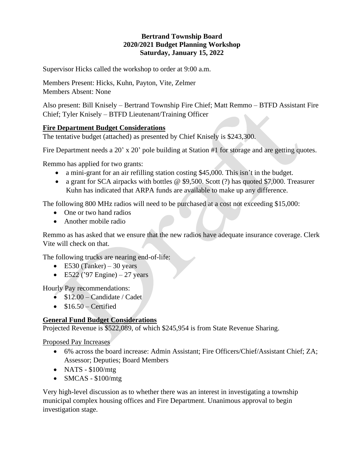## **Bertrand Township Board 2020/2021 Budget Planning Workshop Saturday, January 15, 2022**

Supervisor Hicks called the workshop to order at 9:00 a.m.

Members Present: Hicks, Kuhn, Payton, Vite, Zelmer Members Absent: None

Also present: Bill Knisely – Bertrand Township Fire Chief; Matt Remmo – BTFD Assistant Fire Chief; Tyler Knisely – BTFD Lieutenant/Training Officer

## **Fire Department Budget Considerations**

The tentative budget (attached) as presented by Chief Knisely is \$243,300.

Fire Department needs a 20' x 20' pole building at Station #1 for storage and are getting quotes.

Remmo has applied for two grants:

- a mini-grant for an air refilling station costing \$45,000. This isn't in the budget.
- a grant for SCA airpacks with bottles @ \$9,500. Scott (?) has quoted \$7,000. Treasurer Kuhn has indicated that ARPA funds are available to make up any difference.

The following 800 MHz radios will need to be purchased at a cost not exceeding \$15,000:

- One or two hand radios
- Another mobile radio

Remmo as has asked that we ensure that the new radios have adequate insurance coverage. Clerk Vite will check on that.

The following trucks are nearing end-of-life:

- E530 (Tanker) 30 years
- E522 ('97 Engine) 27 years

Hourly Pay recommendations:

- $$12.00 -$ Candidate / Cadet
- $\bullet$  \$16.50 Certified

## **General Fund Budget Considerations**

Projected Revenue is \$522,089, of which \$245,954 is from State Revenue Sharing.

Proposed Pay Increases

- 6% across the board increase: Admin Assistant; Fire Officers/Chief/Assistant Chief; ZA; Assessor; Deputies; Board Members
- NATS \$100/mtg
- SMCAS \$100/mtg

Very high-level discussion as to whether there was an interest in investigating a township municipal complex housing offices and Fire Department. Unanimous approval to begin investigation stage.